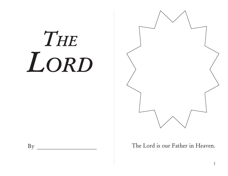## THE LORD



The Lord is our Father in Heaven.

By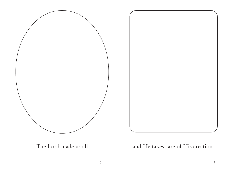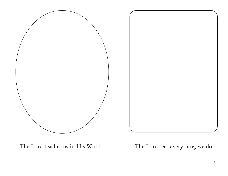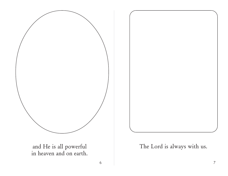

 $6\,$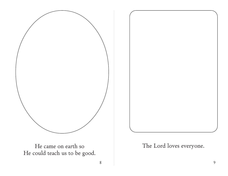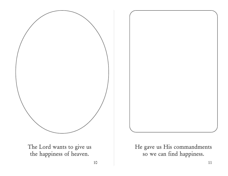